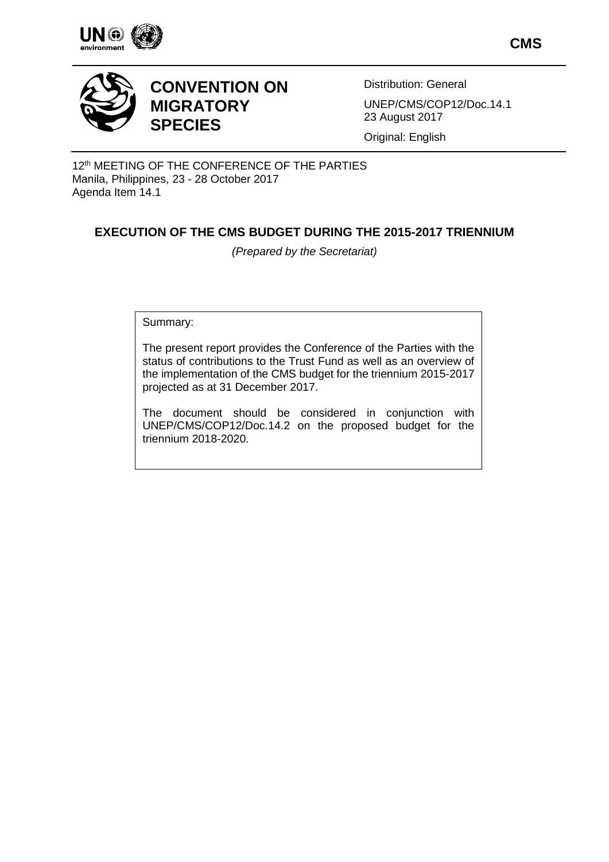

**CMS**



# **CONVENTION ON MIGRATORY SPECIES**

Distribution: General UNEP/CMS/COP12/Doc.14.1 23 August 2017

Original: English

12<sup>th</sup> MEETING OF THE CONFERENCE OF THE PARTIES Manila, Philippines, 23 - 28 October 2017 Agenda Item 14.1

## **EXECUTION OF THE CMS BUDGET DURING THE 2015-2017 TRIENNIUM**

*(Prepared by the Secretariat)*

Summary:

The present report provides the Conference of the Parties with the status of contributions to the Trust Fund as well as an overview of the implementation of the CMS budget for the triennium 2015-2017 projected as at 31 December 2017.

The document should be considered in conjunction with UNEP/CMS/COP12/Doc.14.2 on the proposed budget for the triennium 2018-2020.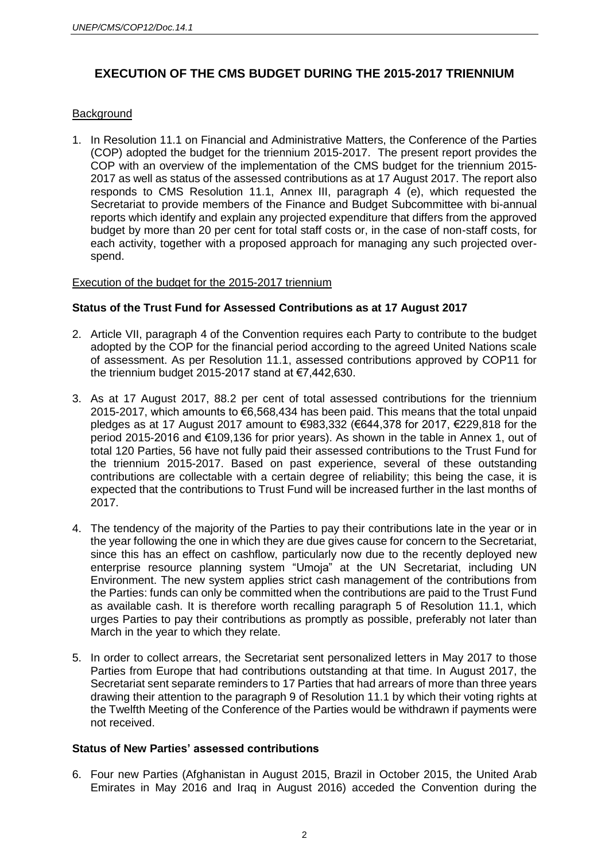## **EXECUTION OF THE CMS BUDGET DURING THE 2015-2017 TRIENNIUM**

### **Background**

1. In Resolution 11.1 on Financial and Administrative Matters, the Conference of the Parties (COP) adopted the budget for the triennium 2015-2017. The present report provides the COP with an overview of the implementation of the CMS budget for the triennium 2015- 2017 as well as status of the assessed contributions as at 17 August 2017. The report also responds to CMS Resolution 11.1, Annex III, paragraph 4 (e), which requested the Secretariat to provide members of the Finance and Budget Subcommittee with bi-annual reports which identify and explain any projected expenditure that differs from the approved budget by more than 20 per cent for total staff costs or, in the case of non-staff costs, for each activity, together with a proposed approach for managing any such projected overspend.

#### Execution of the budget for the 2015-2017 triennium

#### **Status of the Trust Fund for Assessed Contributions as at 17 August 2017**

- 2. Article VII, paragraph 4 of the Convention requires each Party to contribute to the budget adopted by the COP for the financial period according to the agreed United Nations scale of assessment. As per Resolution 11.1, assessed contributions approved by COP11 for the triennium budget 2015-2017 stand at €7,442,630.
- 3. As at 17 August 2017, 88.2 per cent of total assessed contributions for the triennium 2015-2017, which amounts to €6,568,434 has been paid. This means that the total unpaid pledges as at 17 August 2017 amount to €983,332 (€644,378 for 2017, €229,818 for the period 2015-2016 and €109,136 for prior years). As shown in the table in Annex 1, out of total 120 Parties, 56 have not fully paid their assessed contributions to the Trust Fund for the triennium 2015-2017. Based on past experience, several of these outstanding contributions are collectable with a certain degree of reliability; this being the case, it is expected that the contributions to Trust Fund will be increased further in the last months of 2017.
- 4. The tendency of the majority of the Parties to pay their contributions late in the year or in the year following the one in which they are due gives cause for concern to the Secretariat, since this has an effect on cashflow, particularly now due to the recently deployed new enterprise resource planning system "Umoja" at the UN Secretariat, including UN Environment. The new system applies strict cash management of the contributions from the Parties: funds can only be committed when the contributions are paid to the Trust Fund as available cash. It is therefore worth recalling paragraph 5 of Resolution 11.1, which urges Parties to pay their contributions as promptly as possible, preferably not later than March in the year to which they relate.
- 5. In order to collect arrears, the Secretariat sent personalized letters in May 2017 to those Parties from Europe that had contributions outstanding at that time. In August 2017, the Secretariat sent separate reminders to 17 Parties that had arrears of more than three years drawing their attention to the paragraph 9 of Resolution 11.1 by which their voting rights at the Twelfth Meeting of the Conference of the Parties would be withdrawn if payments were not received.

### **Status of New Parties' assessed contributions**

6. Four new Parties (Afghanistan in August 2015, Brazil in October 2015, the United Arab Emirates in May 2016 and Iraq in August 2016) acceded the Convention during the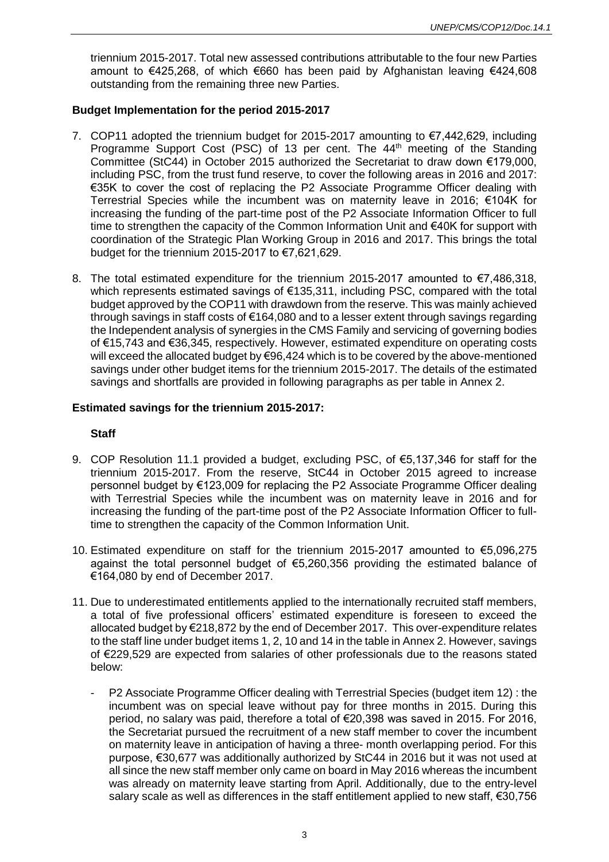triennium 2015-2017. Total new assessed contributions attributable to the four new Parties amount to €425,268, of which €660 has been paid by Afghanistan leaving €424,608 outstanding from the remaining three new Parties.

### **Budget Implementation for the period 2015-2017**

- 7. COP11 adopted the triennium budget for 2015-2017 amounting to €7,442,629, including Programme Support Cost (PSC) of 13 per cent. The 44<sup>th</sup> meeting of the Standing Committee (StC44) in October 2015 authorized the Secretariat to draw down €179,000, including PSC, from the trust fund reserve, to cover the following areas in 2016 and 2017: €35K to cover the cost of replacing the P2 Associate Programme Officer dealing with Terrestrial Species while the incumbent was on maternity leave in 2016; €104K for increasing the funding of the part-time post of the P2 Associate Information Officer to full time to strengthen the capacity of the Common Information Unit and €40K for support with coordination of the Strategic Plan Working Group in 2016 and 2017. This brings the total budget for the triennium 2015-2017 to  $\epsilon$ 7,621,629.
- 8. The total estimated expenditure for the triennium 2015-2017 amounted to €7,486,318, which represents estimated savings of €135,311, including PSC, compared with the total budget approved by the COP11 with drawdown from the reserve. This was mainly achieved through savings in staff costs of €164,080 and to a lesser extent through savings regarding the Independent analysis of synergies in the CMS Family and servicing of governing bodies of €15,743 and €36,345, respectively. However, estimated expenditure on operating costs will exceed the allocated budget by €96,424 which is to be covered by the above-mentioned savings under other budget items for the triennium 2015-2017. The details of the estimated savings and shortfalls are provided in following paragraphs as per table in Annex 2.

### **Estimated savings for the triennium 2015-2017:**

#### **Staff**

- 9. COP Resolution 11.1 provided a budget, excluding PSC, of €5,137,346 for staff for the triennium 2015-2017. From the reserve, StC44 in October 2015 agreed to increase personnel budget by €123,009 for replacing the P2 Associate Programme Officer dealing with Terrestrial Species while the incumbent was on maternity leave in 2016 and for increasing the funding of the part-time post of the P2 Associate Information Officer to fulltime to strengthen the capacity of the Common Information Unit.
- 10. Estimated expenditure on staff for the triennium 2015-2017 amounted to €5,096,275 against the total personnel budget of €5,260,356 providing the estimated balance of €164,080 by end of December 2017.
- 11. Due to underestimated entitlements applied to the internationally recruited staff members, a total of five professional officers' estimated expenditure is foreseen to exceed the allocated budget by €218,872 by the end of December 2017. This over-expenditure relates to the staff line under budget items 1, 2, 10 and 14 in the table in Annex 2. However, savings of €229,529 are expected from salaries of other professionals due to the reasons stated below:
	- P2 Associate Programme Officer dealing with Terrestrial Species (budget item 12) : the incumbent was on special leave without pay for three months in 2015. During this period, no salary was paid, therefore a total of €20,398 was saved in 2015. For 2016, the Secretariat pursued the recruitment of a new staff member to cover the incumbent on maternity leave in anticipation of having a three- month overlapping period. For this purpose, €30,677 was additionally authorized by StC44 in 2016 but it was not used at all since the new staff member only came on board in May 2016 whereas the incumbent was already on maternity leave starting from April. Additionally, due to the entry-level salary scale as well as differences in the staff entitlement applied to new staff, €30,756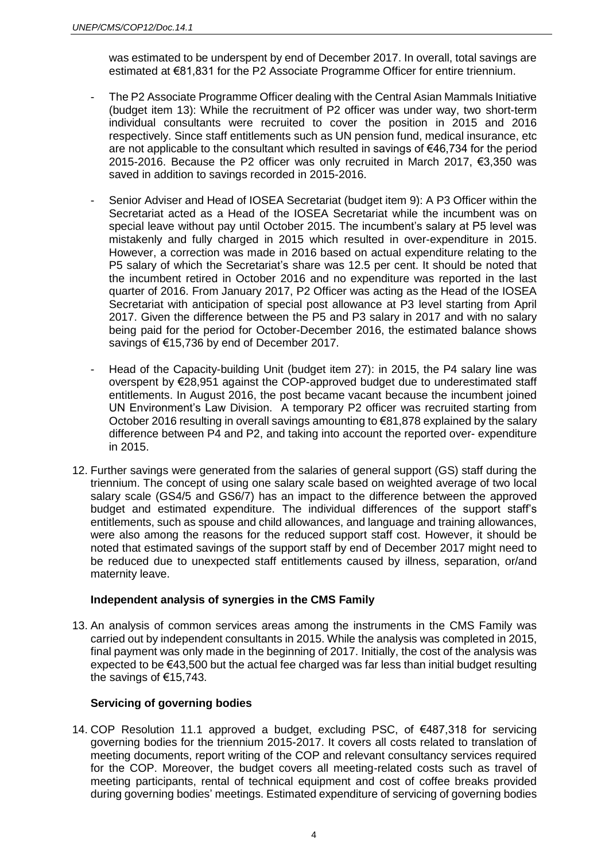was estimated to be underspent by end of December 2017. In overall, total savings are estimated at €81,831 for the P2 Associate Programme Officer for entire triennium.

- The P2 Associate Programme Officer dealing with the Central Asian Mammals Initiative (budget item 13): While the recruitment of P2 officer was under way, two short-term individual consultants were recruited to cover the position in 2015 and 2016 respectively. Since staff entitlements such as UN pension fund, medical insurance, etc are not applicable to the consultant which resulted in savings of €46,734 for the period 2015-2016. Because the P2 officer was only recruited in March 2017, €3,350 was saved in addition to savings recorded in 2015-2016.
- Senior Adviser and Head of IOSEA Secretariat (budget item 9): A P3 Officer within the Secretariat acted as a Head of the IOSEA Secretariat while the incumbent was on special leave without pay until October 2015. The incumbent's salary at P5 level was mistakenly and fully charged in 2015 which resulted in over-expenditure in 2015. However, a correction was made in 2016 based on actual expenditure relating to the P5 salary of which the Secretariat's share was 12.5 per cent. It should be noted that the incumbent retired in October 2016 and no expenditure was reported in the last quarter of 2016. From January 2017, P2 Officer was acting as the Head of the IOSEA Secretariat with anticipation of special post allowance at P3 level starting from April 2017. Given the difference between the P5 and P3 salary in 2017 and with no salary being paid for the period for October-December 2016, the estimated balance shows savings of €15,736 by end of December 2017.
- Head of the Capacity-building Unit (budget item 27): in 2015, the P4 salary line was overspent by €28,951 against the COP-approved budget due to underestimated staff entitlements. In August 2016, the post became vacant because the incumbent joined UN Environment's Law Division. A temporary P2 officer was recruited starting from October 2016 resulting in overall savings amounting to €81,878 explained by the salary difference between P4 and P2, and taking into account the reported over- expenditure in 2015.
- 12. Further savings were generated from the salaries of general support (GS) staff during the triennium. The concept of using one salary scale based on weighted average of two local salary scale (GS4/5 and GS6/7) has an impact to the difference between the approved budget and estimated expenditure. The individual differences of the support staff's entitlements, such as spouse and child allowances, and language and training allowances, were also among the reasons for the reduced support staff cost. However, it should be noted that estimated savings of the support staff by end of December 2017 might need to be reduced due to unexpected staff entitlements caused by illness, separation, or/and maternity leave.

#### **Independent analysis of synergies in the CMS Family**

13. An analysis of common services areas among the instruments in the CMS Family was carried out by independent consultants in 2015. While the analysis was completed in 2015, final payment was only made in the beginning of 2017. Initially, the cost of the analysis was expected to be €43,500 but the actual fee charged was far less than initial budget resulting the savings of €15,743.

#### **Servicing of governing bodies**

14. COP Resolution 11.1 approved a budget, excluding PSC, of €487,318 for servicing governing bodies for the triennium 2015-2017. It covers all costs related to translation of meeting documents, report writing of the COP and relevant consultancy services required for the COP. Moreover, the budget covers all meeting-related costs such as travel of meeting participants, rental of technical equipment and cost of coffee breaks provided during governing bodies' meetings. Estimated expenditure of servicing of governing bodies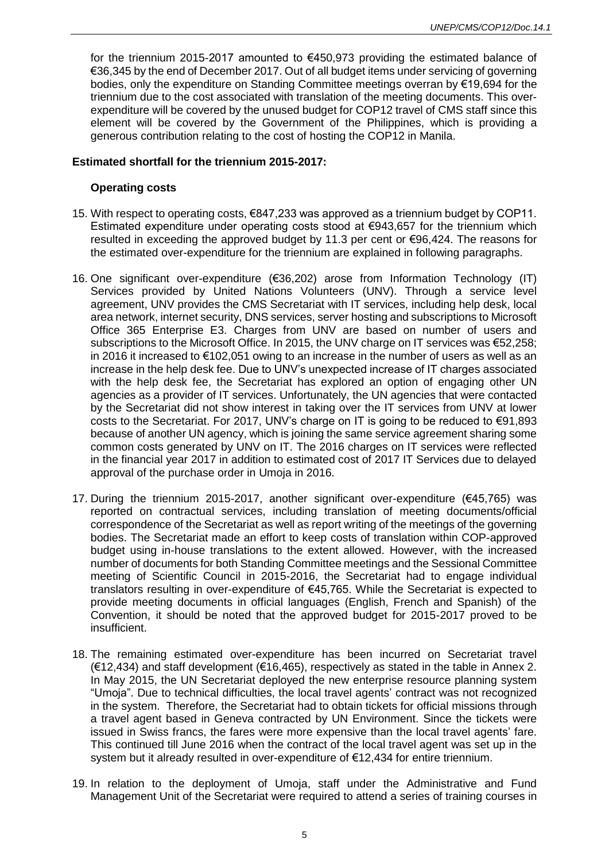for the triennium 2015-2017 amounted to €450,973 providing the estimated balance of €36,345 by the end of December 2017. Out of all budget items under servicing of governing bodies, only the expenditure on Standing Committee meetings overran by €19,694 for the triennium due to the cost associated with translation of the meeting documents. This overexpenditure will be covered by the unused budget for COP12 travel of CMS staff since this element will be covered by the Government of the Philippines, which is providing a generous contribution relating to the cost of hosting the COP12 in Manila.

### **Estimated shortfall for the triennium 2015-2017:**

### **Operating costs**

- 15. With respect to operating costs, €847,233 was approved as a triennium budget by COP11. Estimated expenditure under operating costs stood at €943,657 for the triennium which resulted in exceeding the approved budget by 11.3 per cent or €96,424. The reasons for the estimated over-expenditure for the triennium are explained in following paragraphs.
- 16. One significant over-expenditure (€36,202) arose from Information Technology (IT) Services provided by United Nations Volunteers (UNV). Through a service level agreement, UNV provides the CMS Secretariat with IT services, including help desk, local area network, internet security, DNS services, server hosting and subscriptions to Microsoft Office 365 Enterprise E3. Charges from UNV are based on number of users and subscriptions to the Microsoft Office. In 2015, the UNV charge on IT services was €52,258; in 2016 it increased to €102,051 owing to an increase in the number of users as well as an increase in the help desk fee. Due to UNV's unexpected increase of IT charges associated with the help desk fee, the Secretariat has explored an option of engaging other UN agencies as a provider of IT services. Unfortunately, the UN agencies that were contacted by the Secretariat did not show interest in taking over the IT services from UNV at lower costs to the Secretariat. For 2017, UNV's charge on IT is going to be reduced to €91,893 because of another UN agency, which is joining the same service agreement sharing some common costs generated by UNV on IT. The 2016 charges on IT services were reflected in the financial year 2017 in addition to estimated cost of 2017 IT Services due to delayed approval of the purchase order in Umoja in 2016.
- 17. During the triennium 2015-2017, another significant over-expenditure (€45,765) was reported on contractual services, including translation of meeting documents/official correspondence of the Secretariat as well as report writing of the meetings of the governing bodies. The Secretariat made an effort to keep costs of translation within COP-approved budget using in-house translations to the extent allowed. However, with the increased number of documents for both Standing Committee meetings and the Sessional Committee meeting of Scientific Council in 2015-2016, the Secretariat had to engage individual translators resulting in over-expenditure of €45,765. While the Secretariat is expected to provide meeting documents in official languages (English, French and Spanish) of the Convention, it should be noted that the approved budget for 2015-2017 proved to be insufficient.
- 18. The remaining estimated over-expenditure has been incurred on Secretariat travel (€12,434) and staff development (€16,465), respectively as stated in the table in Annex 2. In May 2015, the UN Secretariat deployed the new enterprise resource planning system "Umoja". Due to technical difficulties, the local travel agents' contract was not recognized in the system. Therefore, the Secretariat had to obtain tickets for official missions through a travel agent based in Geneva contracted by UN Environment. Since the tickets were issued in Swiss francs, the fares were more expensive than the local travel agents' fare. This continued till June 2016 when the contract of the local travel agent was set up in the system but it already resulted in over-expenditure of €12,434 for entire triennium.
- 19. In relation to the deployment of Umoja, staff under the Administrative and Fund Management Unit of the Secretariat were required to attend a series of training courses in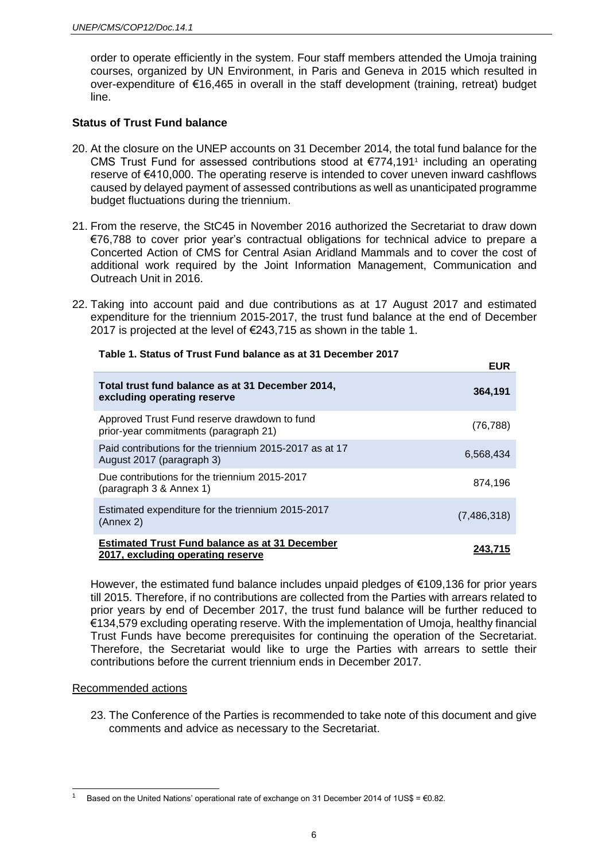order to operate efficiently in the system. Four staff members attended the Umoja training courses, organized by UN Environment, in Paris and Geneva in 2015 which resulted in over-expenditure of €16,465 in overall in the staff development (training, retreat) budget line.

### **Status of Trust Fund balance**

- 20. At the closure on the UNEP accounts on 31 December 2014, the total fund balance for the CMS Trust Fund for assessed contributions stood at €774,191<sup>1</sup> including an operating reserve of €410,000. The operating reserve is intended to cover uneven inward cashflows caused by delayed payment of assessed contributions as well as unanticipated programme budget fluctuations during the triennium.
- 21. From the reserve, the StC45 in November 2016 authorized the Secretariat to draw down €76,788 to cover prior year's contractual obligations for technical advice to prepare a Concerted Action of CMS for Central Asian Aridland Mammals and to cover the cost of additional work required by the Joint Information Management, Communication and Outreach Unit in 2016.
- 22. Taking into account paid and due contributions as at 17 August 2017 and estimated expenditure for the triennium 2015-2017, the trust fund balance at the end of December 2017 is projected at the level of €243,715 as shown in the table 1.

**EUR**

**Table 1. Status of Trust Fund balance as at 31 December 2017** 

|                                                                                            | CUR         |
|--------------------------------------------------------------------------------------------|-------------|
| Total trust fund balance as at 31 December 2014,<br>excluding operating reserve            | 364,191     |
| Approved Trust Fund reserve drawdown to fund<br>prior-year commitments (paragraph 21)      | (76, 788)   |
| Paid contributions for the triennium 2015-2017 as at 17<br>August 2017 (paragraph 3)       | 6,568,434   |
| Due contributions for the triennium 2015-2017<br>(paragraph 3 & Annex 1)                   | 874,196     |
| Estimated expenditure for the triennium 2015-2017<br>(Annex 2)                             | (7,486,318) |
| <b>Estimated Trust Fund balance as at 31 December</b><br>2017, excluding operating reserve | 243,715     |

However, the estimated fund balance includes unpaid pledges of  $\epsilon$ 109,136 for prior years till 2015. Therefore, if no contributions are collected from the Parties with arrears related to prior years by end of December 2017, the trust fund balance will be further reduced to €134,579 excluding operating reserve. With the implementation of Umoja, healthy financial Trust Funds have become prerequisites for continuing the operation of the Secretariat. Therefore, the Secretariat would like to urge the Parties with arrears to settle their contributions before the current triennium ends in December 2017.

#### Recommended actions

l

23. The Conference of the Parties is recommended to take note of this document and give comments and advice as necessary to the Secretariat.

Based on the United Nations' operational rate of exchange on 31 December 2014 of 1US\$ =  $\epsilon$ 0.82.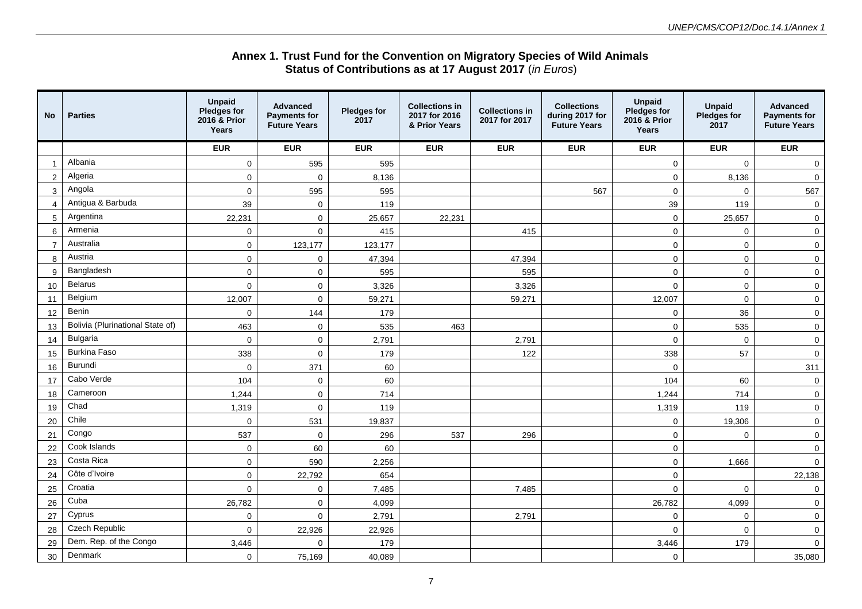#### **Annex 1. Trust Fund for the Convention on Migratory Species of Wild Animals Status of Contributions as at 17 August 2017** (*in Euros*)

| No.            | <b>Parties</b>                   | <b>Unpaid</b><br>Pledges for<br>2016 & Prior<br>Years | <b>Advanced</b><br><b>Payments for</b><br><b>Future Years</b> | <b>Pledges for</b><br>2017 | <b>Collections in</b><br>2017 for 2016<br>& Prior Years | <b>Collections in</b><br>2017 for 2017 | <b>Collections</b><br>during 2017 for<br><b>Future Years</b> | <b>Unpaid</b><br>Pledges for<br>2016 & Prior<br><b>Years</b> | <b>Unpaid</b><br><b>Pledges for</b><br>2017 | <b>Advanced</b><br><b>Payments for</b><br><b>Future Years</b> |
|----------------|----------------------------------|-------------------------------------------------------|---------------------------------------------------------------|----------------------------|---------------------------------------------------------|----------------------------------------|--------------------------------------------------------------|--------------------------------------------------------------|---------------------------------------------|---------------------------------------------------------------|
|                |                                  | <b>EUR</b>                                            | <b>EUR</b>                                                    | <b>EUR</b>                 | <b>EUR</b>                                              | <b>EUR</b>                             | <b>EUR</b>                                                   | <b>EUR</b>                                                   | <b>EUR</b>                                  | <b>EUR</b>                                                    |
|                | Albania                          | $\overline{0}$                                        | 595                                                           | 595                        |                                                         |                                        |                                                              | $\mathbf 0$                                                  | $\mathbf 0$                                 | $\overline{0}$                                                |
| 2              | Algeria                          | $\Omega$                                              | $\mathbf 0$                                                   | 8,136                      |                                                         |                                        |                                                              | $\mathbf 0$                                                  | 8,136                                       | $\overline{0}$                                                |
| 3              | Angola                           | 0                                                     | 595                                                           | 595                        |                                                         |                                        | 567                                                          | $\mathbf 0$                                                  | $\mathbf 0$                                 | 567                                                           |
| $\overline{4}$ | Antigua & Barbuda                | 39                                                    | $\mathbf 0$                                                   | 119                        |                                                         |                                        |                                                              | 39                                                           | 119                                         | $\mathbf 0$                                                   |
| 5              | Argentina                        | 22,231                                                | $\mathbf 0$                                                   | 25,657                     | 22,231                                                  |                                        |                                                              | $\mathbf 0$                                                  | 25,657                                      | $\mathbf 0$                                                   |
| 6              | Armenia                          | 0                                                     | $\mathbf 0$                                                   | 415                        |                                                         | 415                                    |                                                              | $\mathbf 0$                                                  | $\mathbf 0$                                 | $\overline{0}$                                                |
| $\overline{7}$ | Australia                        | 0                                                     | 123,177                                                       | 123,177                    |                                                         |                                        |                                                              | $\mathbf 0$                                                  | $\mathbf 0$                                 | $\overline{0}$                                                |
| 8              | Austria                          | 0                                                     | $\mathbf 0$                                                   | 47,394                     |                                                         | 47,394                                 |                                                              | $\mathbf 0$                                                  | $\mathbf 0$                                 | $\mathbf 0$                                                   |
| 9              | Bangladesh                       | $\Omega$                                              | $\mathbf 0$                                                   | 595                        |                                                         | 595                                    |                                                              | $\mathbf 0$                                                  | $\mathbf 0$                                 | $\mathsf 0$                                                   |
| 10             | <b>Belarus</b>                   | 0                                                     | $\mathbf 0$                                                   | 3,326                      |                                                         | 3,326                                  |                                                              | $\mathbf 0$                                                  | $\mathbf 0$                                 | $\mathsf 0$                                                   |
| 11             | Belgium                          | 12,007                                                | $\mathbf 0$                                                   | 59,271                     |                                                         | 59,271                                 |                                                              | 12,007                                                       | $\mathbf 0$                                 | $\overline{0}$                                                |
| 12             | Benin                            | 0                                                     | 144                                                           | 179                        |                                                         |                                        |                                                              | $\mathbf 0$                                                  | 36                                          | $\mathsf{O}\xspace$                                           |
| 13             | Bolivia (Plurinational State of) | 463                                                   | $\mathbf 0$                                                   | 535                        | 463                                                     |                                        |                                                              | $\pmb{0}$                                                    | 535                                         | $\mathsf 0$                                                   |
| 14             | <b>Bulgaria</b>                  | $\Omega$                                              | $\mathbf 0$                                                   | 2,791                      |                                                         | 2,791                                  |                                                              | $\mathbf 0$                                                  | $\mathbf 0$                                 | $\overline{0}$                                                |
| 15             | <b>Burkina Faso</b>              | 338                                                   | $\Omega$                                                      | 179                        |                                                         | 122                                    |                                                              | 338                                                          | 57                                          | $\mathsf 0$                                                   |
| 16             | Burundi                          | 0                                                     | 371                                                           | 60                         |                                                         |                                        |                                                              | $\mathbf 0$                                                  |                                             | 311                                                           |
| 17             | Cabo Verde                       | 104                                                   | $\mathbf 0$                                                   | 60                         |                                                         |                                        |                                                              | 104                                                          | 60                                          | $\mathbf 0$                                                   |
| 18             | Cameroon                         | 1,244                                                 | $\mathbf 0$                                                   | 714                        |                                                         |                                        |                                                              | 1,244                                                        | 714                                         | $\mathbf 0$                                                   |
| 19             | Chad                             | 1,319                                                 | 0                                                             | 119                        |                                                         |                                        |                                                              | 1,319                                                        | 119                                         | $\mathsf 0$                                                   |
| 20             | Chile                            | 0                                                     | 531                                                           | 19,837                     |                                                         |                                        |                                                              | $\mathbf 0$                                                  | 19,306                                      | $\mathsf 0$                                                   |
| 21             | Congo                            | 537                                                   | $\mathbf 0$                                                   | 296                        | 537                                                     | 296                                    |                                                              | $\mathbf 0$                                                  | $\mathbf 0$                                 | $\mathsf 0$                                                   |
| 22             | Cook Islands                     | 0                                                     | 60                                                            | 60                         |                                                         |                                        |                                                              | $\mathbf 0$                                                  |                                             | $\mathbf 0$                                                   |
| 23             | Costa Rica                       | 0                                                     | 590                                                           | 2,256                      |                                                         |                                        |                                                              | $\mathbf 0$                                                  | 1,666                                       | $\mathbf 0$                                                   |
| 24             | Côte d'Ivoire                    | $\mathbf 0$                                           | 22,792                                                        | 654                        |                                                         |                                        |                                                              | $\mathbf 0$                                                  |                                             | 22,138                                                        |
| 25             | Croatia                          | $\Omega$                                              | 0                                                             | 7,485                      |                                                         | 7,485                                  |                                                              | $\mathbf 0$                                                  | $\mathbf 0$                                 | $\mathbf 0$                                                   |
| 26             | Cuba                             | 26,782                                                | $\mathbf 0$                                                   | 4,099                      |                                                         |                                        |                                                              | 26,782                                                       | 4,099                                       | $\mathbf 0$                                                   |
| 27             | Cyprus                           | 0                                                     | $\mathbf 0$                                                   | 2,791                      |                                                         | 2,791                                  |                                                              | $\mathbf 0$                                                  | 0                                           | $\mathbf 0$                                                   |
| 28             | Czech Republic                   | 0                                                     | 22,926                                                        | 22,926                     |                                                         |                                        |                                                              | $\mathbf 0$                                                  | $\mathbf 0$                                 | $\overline{0}$                                                |
| 29             | Dem. Rep. of the Congo           | 3,446                                                 | $\Omega$                                                      | 179                        |                                                         |                                        |                                                              | 3,446                                                        | 179                                         | $\overline{0}$                                                |
| 30             | Denmark                          | 0                                                     | 75,169                                                        | 40,089                     |                                                         |                                        |                                                              | $\mathbf 0$                                                  |                                             | 35,080                                                        |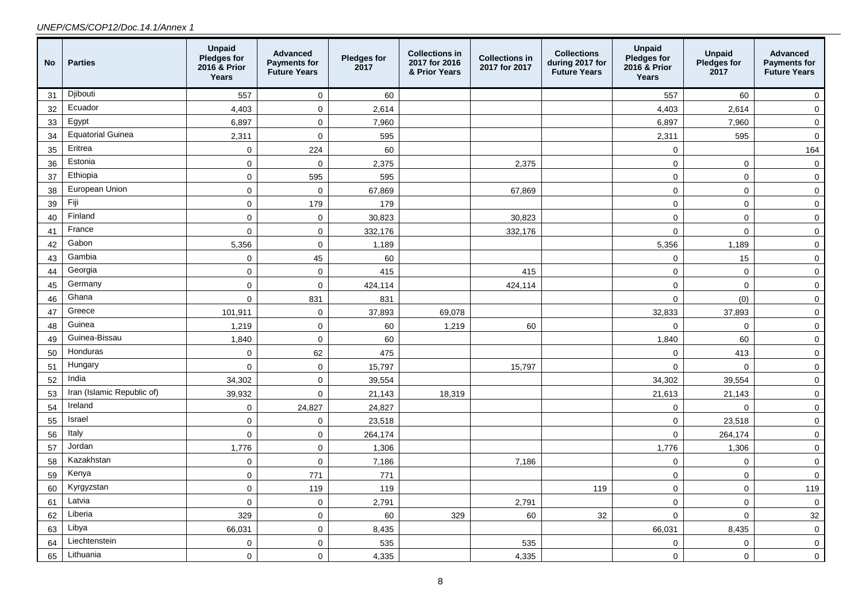#### *UNEP/CMS/COP12/Doc.14.1/Annex 1*

| <b>No</b> | <b>Parties</b>             | <b>Unpaid</b><br><b>Pledges for</b><br>2016 & Prior<br>Years | Advanced<br><b>Payments for</b><br><b>Future Years</b> | <b>Pledges for</b><br>2017 | <b>Collections in</b><br>2017 for 2016<br>& Prior Years | <b>Collections in</b><br>2017 for 2017 | <b>Collections</b><br>during 2017 for<br><b>Future Years</b> | <b>Unpaid</b><br><b>Pledges for</b><br>2016 & Prior<br>Years | <b>Unpaid</b><br>Pledges for<br>2017 | Advanced<br><b>Payments for</b><br><b>Future Years</b> |
|-----------|----------------------------|--------------------------------------------------------------|--------------------------------------------------------|----------------------------|---------------------------------------------------------|----------------------------------------|--------------------------------------------------------------|--------------------------------------------------------------|--------------------------------------|--------------------------------------------------------|
| 31        | Djibouti                   | 557                                                          | $\mathbf 0$                                            | 60                         |                                                         |                                        |                                                              | 557                                                          | 60                                   | $\mathbf 0$                                            |
| 32        | Ecuador                    | 4,403                                                        | $\Omega$                                               | 2,614                      |                                                         |                                        |                                                              | 4,403                                                        | 2,614                                | $\mathbf 0$                                            |
| 33        | Egypt                      | 6,897                                                        | $\mathbf 0$                                            | 7,960                      |                                                         |                                        |                                                              | 6,897                                                        | 7,960                                | $\mathbf 0$                                            |
| 34        | <b>Equatorial Guinea</b>   | 2,311                                                        | $\mathbf 0$                                            | 595                        |                                                         |                                        |                                                              | 2,311                                                        | 595                                  | $\mathbf 0$                                            |
| 35        | Eritrea                    | $\pmb{0}$                                                    | 224                                                    | 60                         |                                                         |                                        |                                                              | $\mathbf 0$                                                  |                                      | 164                                                    |
| 36        | Estonia                    | $\pmb{0}$                                                    | $\mathbf 0$                                            | 2,375                      |                                                         | 2,375                                  |                                                              | $\pmb{0}$                                                    | $\mathbf 0$                          | $\pmb{0}$                                              |
| 37        | Ethiopia                   | $\mathbf 0$                                                  | 595                                                    | 595                        |                                                         |                                        |                                                              | $\mathbf 0$                                                  | $\mathbf 0$                          | $\mathbf 0$                                            |
| 38        | European Union             | $\pmb{0}$                                                    | $\mathbf{0}$                                           | 67,869                     |                                                         | 67,869                                 |                                                              | $\mathsf{O}\xspace$                                          | $\mathbf 0$                          | $\pmb{0}$                                              |
| 39        | Fiji                       | $\mathbf 0$                                                  | 179                                                    | 179                        |                                                         |                                        |                                                              | $\mathsf{O}\xspace$                                          | $\mathbf 0$                          | $\pmb{0}$                                              |
| 40        | Finland                    | $\pmb{0}$                                                    | $\mathbf 0$                                            | 30,823                     |                                                         | 30,823                                 |                                                              | $\pmb{0}$                                                    | $\mathbf 0$                          | $\mathbf 0$                                            |
| 41        | France                     | $\mathbf 0$                                                  | $\mathbf{0}$                                           | 332,176                    |                                                         | 332,176                                |                                                              | $\pmb{0}$                                                    | $\mathbf 0$                          | $\mathbf 0$                                            |
| 42        | Gabon                      | 5,356                                                        | $\pmb{0}$                                              | 1,189                      |                                                         |                                        |                                                              | 5,356                                                        | 1,189                                | $\pmb{0}$                                              |
| 43        | Gambia                     | $\mathsf 0$                                                  | 45                                                     | 60                         |                                                         |                                        |                                                              | $\mathbf 0$                                                  | 15                                   | $\mathbf 0$                                            |
| 44        | Georgia                    | $\mathbf 0$                                                  | $\mathbf 0$                                            | 415                        |                                                         | 415                                    |                                                              | $\mathbf 0$                                                  | $\mathbf 0$                          | $\mathbf 0$                                            |
| 45        | Germany                    | $\mathbf 0$                                                  | $\pmb{0}$                                              | 424,114                    |                                                         | 424,114                                |                                                              | $\mathsf 0$                                                  | $\mathbf 0$                          | $\pmb{0}$                                              |
| 46        | Ghana                      | $\mathbf 0$                                                  | 831                                                    | 831                        |                                                         |                                        |                                                              | $\pmb{0}$                                                    | (0)                                  | $\pmb{0}$                                              |
| 47        | Greece                     | 101,911                                                      | $\mathbf 0$                                            | 37,893                     | 69,078                                                  |                                        |                                                              | 32,833                                                       | 37,893                               | $\pmb{0}$                                              |
| 48        | Guinea                     | 1,219                                                        | $\mathbf 0$                                            | 60                         | 1,219                                                   | 60                                     |                                                              | $\mathbf 0$                                                  | $\mathbf 0$                          | $\mathbf 0$                                            |
| 49        | Guinea-Bissau              | 1,840                                                        | $\mathbf 0$                                            | 60                         |                                                         |                                        |                                                              | 1,840                                                        | 60                                   | $\pmb{0}$                                              |
| 50        | Honduras                   | $\mathbf 0$                                                  | 62                                                     | 475                        |                                                         |                                        |                                                              | $\mathbf 0$                                                  | 413                                  | $\mathbf 0$                                            |
| 51        | Hungary                    | $\mathbf 0$                                                  | $\mathbf 0$                                            | 15,797                     |                                                         | 15,797                                 |                                                              | $\mathbf 0$                                                  | $\mathbf 0$                          | $\mathbf 0$                                            |
| 52        | India                      | 34,302                                                       | $\mathbf 0$                                            | 39,554                     |                                                         |                                        |                                                              | 34,302                                                       | 39,554                               | $\overline{0}$                                         |
| 53        | Iran (Islamic Republic of) | 39,932                                                       | $\mathbf 0$                                            | 21,143                     | 18,319                                                  |                                        |                                                              | 21,613                                                       | 21,143                               | $\pmb{0}$                                              |
| 54        | Ireland                    | $\mathsf 0$                                                  | 24,827                                                 | 24,827                     |                                                         |                                        |                                                              | $\pmb{0}$                                                    | $\mathbf 0$                          | $\mathbf 0$                                            |
| 55        | Israel                     | $\pmb{0}$                                                    | $\mathbf 0$                                            | 23,518                     |                                                         |                                        |                                                              | $\pmb{0}$                                                    | 23,518                               | $\mathsf{O}\xspace$                                    |
| 56        | Italy                      | $\pmb{0}$                                                    | $\pmb{0}$                                              | 264,174                    |                                                         |                                        |                                                              | $\pmb{0}$                                                    | 264,174                              | $\mathbf 0$                                            |
| 57        | Jordan                     | 1,776                                                        | $\mathbf 0$                                            | 1,306                      |                                                         |                                        |                                                              | 1,776                                                        | 1,306                                | $\mathbf 0$                                            |
| 58        | Kazakhstan                 | $\mathbf 0$                                                  | $\mathbf 0$                                            | 7,186                      |                                                         | 7,186                                  |                                                              | $\mathbf 0$                                                  | $\mathbf 0$                          | $\mathbf 0$                                            |
| 59        | Kenya                      | $\pmb{0}$                                                    | 771                                                    | 771                        |                                                         |                                        |                                                              | $\mathbf 0$                                                  | $\mathbf 0$                          | $\mathbf 0$                                            |
| 60        | Kyrgyzstan                 | $\mathbf 0$                                                  | 119                                                    | 119                        |                                                         |                                        | 119                                                          | $\pmb{0}$                                                    | $\mathsf 0$                          | 119                                                    |
| 61        | Latvia                     | $\pmb{0}$                                                    | $\mathbf 0$                                            | 2,791                      |                                                         | 2,791                                  |                                                              | $\mathbf 0$                                                  | $\mathbf 0$                          | $\mathbf 0$                                            |
| 62        | Liberia                    | 329                                                          | $\pmb{0}$                                              | 60                         | 329                                                     | 60                                     | 32                                                           | $\pmb{0}$                                                    | $\mathsf{O}\xspace$                  | 32                                                     |
| 63        | Libya                      | 66,031                                                       | $\mathbf{0}$                                           | 8,435                      |                                                         |                                        |                                                              | 66,031                                                       | 8,435                                | $\mathbf 0$                                            |
| 64        | Liechtenstein              | $\mathbf 0$                                                  | $\mathbf 0$                                            | 535                        |                                                         | 535                                    |                                                              | 0                                                            | $\mathbf 0$                          | $\mathsf{O}\xspace$                                    |
| 65        | Lithuania                  | $\Omega$                                                     | $\Omega$                                               | 4,335                      |                                                         | 4,335                                  |                                                              | $\pmb{0}$                                                    | $\mathbf 0$                          | $\mathbf 0$                                            |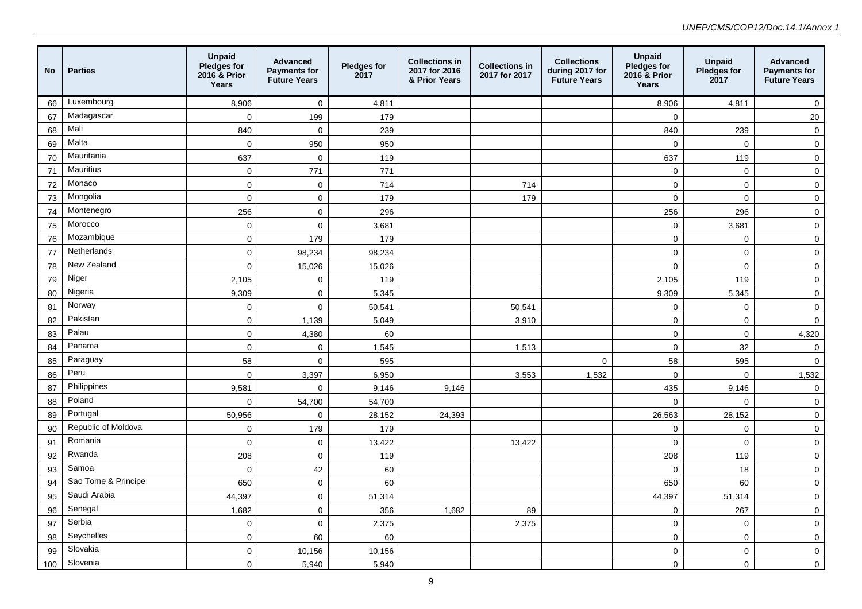| <b>No</b> | <b>Parties</b>      | <b>Unpaid</b><br>Pledges for<br>2016 & Prior<br>Years | Advanced<br><b>Payments for</b><br><b>Future Years</b> | <b>Pledges for</b><br>2017 | <b>Collections in</b><br>2017 for 2016<br>& Prior Years | <b>Collections in</b><br>2017 for 2017 | <b>Collections</b><br>during 2017 for<br><b>Future Years</b> | <b>Unpaid</b><br>Pledges for<br>2016 & Prior<br>Years | <b>Unpaid</b><br>Pledges for<br>2017 | Advanced<br><b>Payments for</b><br><b>Future Years</b> |
|-----------|---------------------|-------------------------------------------------------|--------------------------------------------------------|----------------------------|---------------------------------------------------------|----------------------------------------|--------------------------------------------------------------|-------------------------------------------------------|--------------------------------------|--------------------------------------------------------|
| 66        | Luxembourg          | 8,906                                                 | $\pmb{0}$                                              | 4,811                      |                                                         |                                        |                                                              | 8,906                                                 | 4,811                                | $\mathbf 0$                                            |
| 67        | Madagascar          | $\mathbf{0}$                                          | 199                                                    | 179                        |                                                         |                                        |                                                              | $\mathbf 0$                                           |                                      | 20                                                     |
| 68        | Mali                | 840                                                   | $\pmb{0}$                                              | 239                        |                                                         |                                        |                                                              | 840                                                   | 239                                  | $\mathbf 0$                                            |
| 69        | Malta               | $\mathbf 0$                                           | 950                                                    | 950                        |                                                         |                                        |                                                              | $\mathbf 0$                                           | $\mathbf 0$                          | $\mathbf 0$                                            |
| 70        | Mauritania          | 637                                                   | $\mathbf 0$                                            | 119                        |                                                         |                                        |                                                              | 637                                                   | 119                                  | $\mathbf 0$                                            |
| 71        | <b>Mauritius</b>    | $\mathbf 0$                                           | 771                                                    | 771                        |                                                         |                                        |                                                              | $\mathbf 0$                                           | $\mathbf 0$                          | $\mathbf 0$                                            |
| 72        | Monaco              | $\pmb{0}$                                             | $\mathbf 0$                                            | 714                        |                                                         | 714                                    |                                                              | $\pmb{0}$                                             | $\mathbf 0$                          | $\mathbf 0$                                            |
| 73        | Mongolia            | $\mathbf 0$                                           | $\pmb{0}$                                              | 179                        |                                                         | 179                                    |                                                              | $\mathbf 0$                                           | $\mathbf 0$                          | 0                                                      |
| 74        | Montenegro          | 256                                                   | $\pmb{0}$                                              | 296                        |                                                         |                                        |                                                              | 256                                                   | 296                                  | $\mathbf 0$                                            |
| 75        | Morocco             | $\mathsf{O}\xspace$                                   | $\pmb{0}$                                              | 3,681                      |                                                         |                                        |                                                              | $\mathsf 0$                                           | 3,681                                | $\pmb{0}$                                              |
| 76        | Mozambique          | $\mathbf 0$                                           | 179                                                    | 179                        |                                                         |                                        |                                                              | $\mathbf 0$                                           | $\mathbf 0$                          | $\mathbf 0$                                            |
| 77        | Netherlands         | $\pmb{0}$                                             | 98,234                                                 | 98,234                     |                                                         |                                        |                                                              | $\mathbf 0$                                           | $\mathbf 0$                          | $\mathbf 0$                                            |
| 78        | New Zealand         | $\mathbf 0$                                           | 15,026                                                 | 15,026                     |                                                         |                                        |                                                              | $\mathbf 0$                                           | $\mathbf 0$                          | $\mathbf 0$                                            |
| 79        | Niger               | 2,105                                                 | $\mathsf{O}\xspace$                                    | 119                        |                                                         |                                        |                                                              | 2,105                                                 | 119                                  | $\mathbf 0$                                            |
| 80        | Nigeria             | 9,309                                                 | $\mathbf 0$                                            | 5,345                      |                                                         |                                        |                                                              | 9,309                                                 | 5,345                                | $\mathbf 0$                                            |
| 81        | Norway              | $\mathbf 0$                                           | $\overline{0}$                                         | 50,541                     |                                                         | 50,541                                 |                                                              | $\mathbf 0$                                           | $\mathbf 0$                          | $\mathbf 0$                                            |
| 82        | Pakistan            | $\pmb{0}$                                             | 1,139                                                  | 5,049                      |                                                         | 3,910                                  |                                                              | $\pmb{0}$                                             | $\mathbf 0$                          | 0                                                      |
| 83        | Palau               | $\mathbf{0}$                                          | 4,380                                                  | 60                         |                                                         |                                        |                                                              | $\mathbf{0}$                                          | $\mathbf 0$                          | 4,320                                                  |
| 84        | Panama              | $\mathbf 0$                                           | $\mathbf 0$                                            | 1,545                      |                                                         | 1,513                                  |                                                              | $\mathbf 0$                                           | 32                                   | 0                                                      |
| 85        | Paraguay            | 58                                                    | $\mathbf 0$                                            | 595                        |                                                         |                                        | $\mathbf 0$                                                  | 58                                                    | 595                                  | $\mathbf 0$                                            |
| 86        | Peru                | $\mathbf 0$                                           | 3,397                                                  | 6,950                      |                                                         | 3,553                                  | 1,532                                                        | $\mathbf 0$                                           | $\mathbf 0$                          | 1,532                                                  |
| 87        | Philippines         | 9,581                                                 | $\mathbf 0$                                            | 9,146                      | 9,146                                                   |                                        |                                                              | 435                                                   | 9,146                                | 0                                                      |
| 88        | Poland              | $\pmb{0}$                                             | 54,700                                                 | 54,700                     |                                                         |                                        |                                                              | $\mathbf 0$                                           | $\mathbf 0$                          | $\mathbf 0$                                            |
| 89        | Portugal            | 50,956                                                | $\pmb{0}$                                              | 28,152                     | 24,393                                                  |                                        |                                                              | 26,563                                                | 28,152                               | $\mathbf 0$                                            |
| 90        | Republic of Moldova | $\mathbf 0$                                           | 179                                                    | 179                        |                                                         |                                        |                                                              | $\mathbf 0$                                           | $\mathbf 0$                          | $\mathbf 0$                                            |
| 91        | Romania             | $\mathbf 0$                                           | $\mathbf 0$                                            | 13,422                     |                                                         | 13,422                                 |                                                              | $\mathbf 0$                                           | $\mathbf 0$                          | $\mathbf 0$                                            |
| 92        | Rwanda              | 208                                                   | $\mathbf 0$                                            | 119                        |                                                         |                                        |                                                              | 208                                                   | 119                                  | $\mathbf 0$                                            |
| 93        | Samoa               | $\mathbf 0$                                           | 42                                                     | 60                         |                                                         |                                        |                                                              | $\Omega$                                              | 18                                   | 0                                                      |
| 94        | Sao Tome & Principe | 650                                                   | $\mathbf 0$                                            | 60                         |                                                         |                                        |                                                              | 650                                                   | 60                                   | $\mathbf 0$                                            |
| 95        | Saudi Arabia        | 44,397                                                | $\mathbf 0$                                            | 51,314                     |                                                         |                                        |                                                              | 44,397                                                | 51,314                               | $\mathbf 0$                                            |
| 96        | Senegal             | 1,682                                                 | $\pmb{0}$                                              | 356                        | 1,682                                                   | 89                                     |                                                              | 0                                                     | 267                                  | 0                                                      |
| 97        | Serbia              | $\mathbf 0$                                           | $\pmb{0}$                                              | 2,375                      |                                                         | 2,375                                  |                                                              | $\mathbf 0$                                           | $\mathbf 0$                          | $\mathbf 0$                                            |
| 98        | Seychelles          | $\pmb{0}$                                             | 60                                                     | 60                         |                                                         |                                        |                                                              | $\pmb{0}$                                             | $\pmb{0}$                            | $\mathbf 0$                                            |
| 99        | Slovakia            | $\mathbf 0$                                           | 10,156                                                 | 10,156                     |                                                         |                                        |                                                              | $\mathbf 0$                                           | $\mathbf 0$                          | $\mathbf 0$                                            |
| 100       | Slovenia            | $\mathbf{0}$                                          | 5,940                                                  | 5,940                      |                                                         |                                        |                                                              | $\mathbf 0$                                           | $\mathbf{0}$                         | $\mathbf 0$                                            |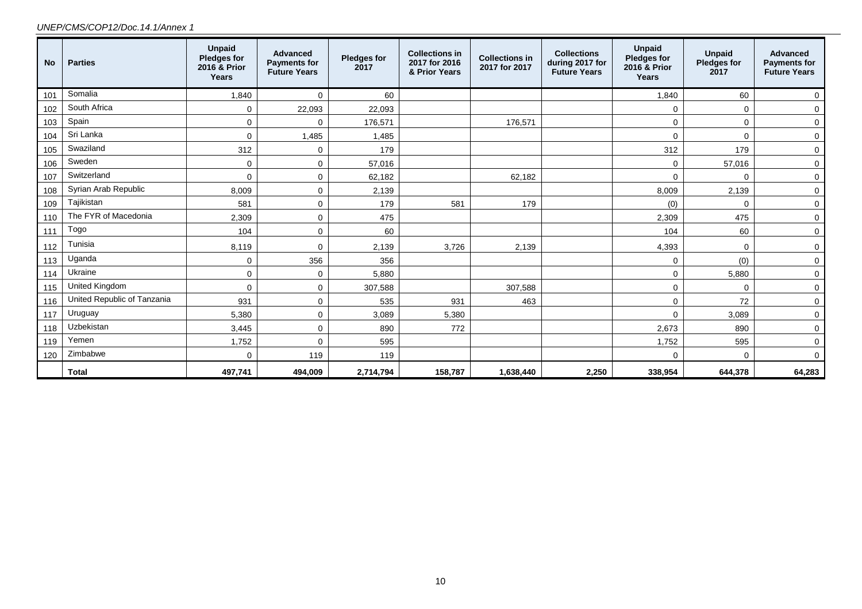#### *UNEP/CMS/COP12/Doc.14.1/Annex 1*

| <b>No</b> | <b>Parties</b>              | <b>Unpaid</b><br><b>Pledges for</b><br>2016 & Prior<br>Years | <b>Advanced</b><br><b>Payments for</b><br><b>Future Years</b> | <b>Pledges for</b><br>2017 | <b>Collections in</b><br>2017 for 2016<br>& Prior Years | <b>Collections in</b><br>2017 for 2017 | <b>Collections</b><br>during 2017 for<br><b>Future Years</b> | <b>Unpaid</b><br><b>Pledges for</b><br>2016 & Prior<br>Years | <b>Unpaid</b><br><b>Pledges for</b><br>2017 | <b>Advanced</b><br><b>Payments for</b><br><b>Future Years</b> |
|-----------|-----------------------------|--------------------------------------------------------------|---------------------------------------------------------------|----------------------------|---------------------------------------------------------|----------------------------------------|--------------------------------------------------------------|--------------------------------------------------------------|---------------------------------------------|---------------------------------------------------------------|
| 101       | Somalia                     | 1,840                                                        | $\mathbf 0$                                                   | 60                         |                                                         |                                        |                                                              | 1,840                                                        | 60                                          | $\mathbf 0$                                                   |
| 102       | South Africa                | 0                                                            | 22,093                                                        | 22,093                     |                                                         |                                        |                                                              | 0                                                            | 0                                           | $\mathbf 0$                                                   |
| 103       | Spain                       | $\mathbf 0$                                                  | $\Omega$                                                      | 176,571                    |                                                         | 176,571                                |                                                              | 0                                                            | 0                                           | 0                                                             |
| 104       | Sri Lanka                   | $\Omega$                                                     | 1,485                                                         | 1,485                      |                                                         |                                        |                                                              | $\mathbf 0$                                                  | $\Omega$                                    | $\mathbf 0$                                                   |
| 105       | Swaziland                   | 312                                                          | $\mathbf 0$                                                   | 179                        |                                                         |                                        |                                                              | 312                                                          | 179                                         | $\mathbf 0$                                                   |
| 106       | Sweden                      | $\mathbf 0$                                                  | $\mathbf 0$                                                   | 57,016                     |                                                         |                                        |                                                              | $\mathbf 0$                                                  | 57,016                                      | $\mathbf 0$                                                   |
| 107       | Switzerland                 | $\Omega$                                                     | $\mathbf 0$                                                   | 62,182                     |                                                         | 62,182                                 |                                                              | $\mathbf 0$                                                  | 0                                           | $\mathbf 0$                                                   |
| 108       | Syrian Arab Republic        | 8,009                                                        | $\mathbf 0$                                                   | 2,139                      |                                                         |                                        |                                                              | 8,009                                                        | 2,139                                       | $\mathbf 0$                                                   |
| 109       | Tajikistan                  | 581                                                          | $\Omega$                                                      | 179                        | 581                                                     | 179                                    |                                                              | (0)                                                          | $\Omega$                                    | $\mathbf 0$                                                   |
| 110       | The FYR of Macedonia        | 2,309                                                        | $\mathbf 0$                                                   | 475                        |                                                         |                                        |                                                              | 2,309                                                        | 475                                         | $\mathbf 0$                                                   |
| 111       | Togo                        | 104                                                          | $\mathbf 0$                                                   | 60                         |                                                         |                                        |                                                              | 104                                                          | 60                                          | $\mathbf 0$                                                   |
| 112       | Tunisia                     | 8,119                                                        | $\Omega$                                                      | 2,139                      | 3,726                                                   | 2,139                                  |                                                              | 4,393                                                        | $\mathbf 0$                                 | $\mathbf 0$                                                   |
| 113       | Uganda                      | $\mathbf 0$                                                  | 356                                                           | 356                        |                                                         |                                        |                                                              | 0                                                            | (0)                                         | 0                                                             |
| 114       | Ukraine                     | $\mathbf 0$                                                  | $\Omega$                                                      | 5,880                      |                                                         |                                        |                                                              | 0                                                            | 5,880                                       | $\mathsf 0$                                                   |
| 115       | <b>United Kingdom</b>       | $\mathbf 0$                                                  | $\mathbf 0$                                                   | 307,588                    |                                                         | 307,588                                |                                                              | $\mathbf 0$                                                  | 0                                           | $\mathbf 0$                                                   |
| 116       | United Republic of Tanzania | 931                                                          | $\mathbf 0$                                                   | 535                        | 931                                                     | 463                                    |                                                              | $\mathbf 0$                                                  | 72                                          | $\mathbf 0$                                                   |
| 117       | Uruguay                     | 5,380                                                        | $\Omega$                                                      | 3,089                      | 5,380                                                   |                                        |                                                              | $\Omega$                                                     | 3,089                                       | 0                                                             |
| 118       | Uzbekistan                  | 3,445                                                        | $\Omega$                                                      | 890                        | 772                                                     |                                        |                                                              | 2,673                                                        | 890                                         | $\mathbf 0$                                                   |
| 119       | Yemen                       | 1,752                                                        | $\Omega$                                                      | 595                        |                                                         |                                        |                                                              | 1,752                                                        | 595                                         | $\mathbf 0$                                                   |
| 120       | Zimbabwe                    | $\mathbf 0$                                                  | 119                                                           | 119                        |                                                         |                                        |                                                              | 0                                                            | 0                                           | $\mathbf 0$                                                   |
|           | <b>Total</b>                | 497,741                                                      | 494,009                                                       | 2,714,794                  | 158,787                                                 | 1,638,440                              | 2,250                                                        | 338,954                                                      | 644,378                                     | 64,283                                                        |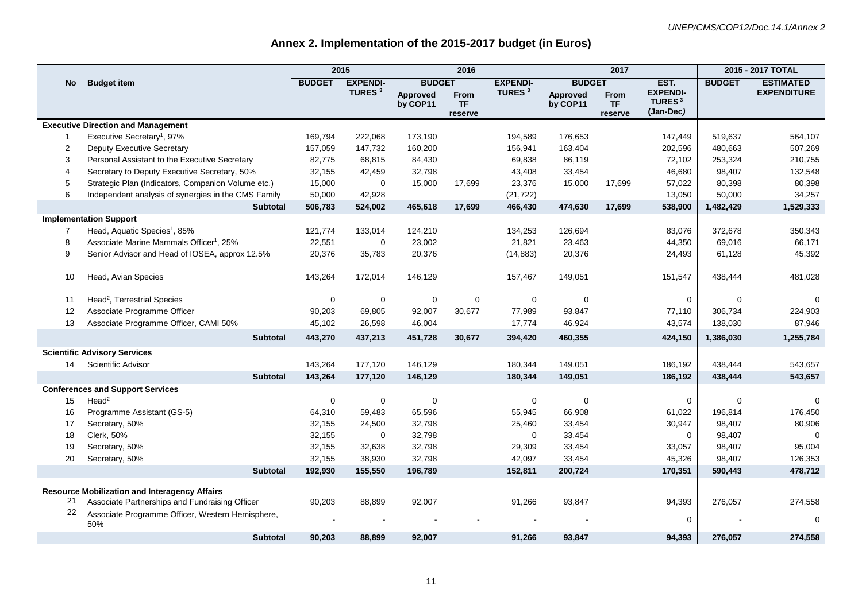## **Annex 2. Implementation of the 2015-2017 budget (in Euros)**

|                  |                                                      |               | 2015               |                 | 2016                 |                    | 2017            |                      | 2015 - 2017 TOTAL                            |               |                    |
|------------------|------------------------------------------------------|---------------|--------------------|-----------------|----------------------|--------------------|-----------------|----------------------|----------------------------------------------|---------------|--------------------|
| No               | <b>Budget item</b>                                   | <b>BUDGET</b> | <b>EXPENDI-</b>    | <b>BUDGET</b>   |                      | <b>EXPENDI-</b>    | <b>BUDGET</b>   |                      | EST.                                         | <b>BUDGET</b> | <b>ESTIMATED</b>   |
|                  |                                                      |               | TURES <sup>3</sup> | <b>Approved</b> | From                 | TURES <sup>3</sup> | <b>Approved</b> | From                 | <b>EXPENDI-</b><br><b>TURES</b> <sup>3</sup> |               | <b>EXPENDITURE</b> |
|                  |                                                      |               |                    | by COP11        | <b>TF</b><br>reserve |                    | by COP11        | <b>TF</b><br>reserve | (Jan-Dec)                                    |               |                    |
|                  | <b>Executive Direction and Management</b>            |               |                    |                 |                      |                    |                 |                      |                                              |               |                    |
|                  | Executive Secretary <sup>1</sup> , 97%               | 169,794       | 222,068            | 173,190         |                      | 194,589            | 176,653         |                      | 147,449                                      | 519,637       | 564,107            |
| $\boldsymbol{2}$ | <b>Deputy Executive Secretary</b>                    | 157,059       | 147,732            | 160,200         |                      | 156,941            | 163,404         |                      | 202,596                                      | 480,663       | 507,269            |
| 3                | Personal Assistant to the Executive Secretary        | 82,775        | 68,815             | 84,430          |                      | 69,838             | 86,119          |                      | 72,102                                       | 253,324       | 210,755            |
| 4                | Secretary to Deputy Executive Secretary, 50%         | 32,155        | 42,459             | 32,798          |                      | 43,408             | 33,454          |                      | 46,680                                       | 98,407        | 132,548            |
| 5                | Strategic Plan (Indicators, Companion Volume etc.)   | 15,000        | 0                  | 15,000          | 17,699               | 23,376             | 15,000          | 17,699               | 57,022                                       | 80,398        | 80,398             |
| 6                | Independent analysis of synergies in the CMS Family  | 50,000        | 42,928             |                 |                      | (21, 722)          |                 |                      | 13,050                                       | 50,000        | 34,257             |
|                  | <b>Subtotal</b>                                      | 506,783       | 524,002            | 465,618         | 17,699               | 466,430            | 474,630         | 17,699               | 538,900                                      | 1,482,429     | 1,529,333          |
|                  | <b>Implementation Support</b>                        |               |                    |                 |                      |                    |                 |                      |                                              |               |                    |
| 7                | Head, Aquatic Species <sup>1</sup> , 85%             | 121,774       | 133,014            | 124,210         |                      | 134,253            | 126,694         |                      | 83,076                                       | 372,678       | 350,343            |
| 8                | Associate Marine Mammals Officer <sup>1</sup> , 25%  | 22,551        | $\mathbf 0$        | 23,002          |                      | 21,821             | 23,463          |                      | 44,350                                       | 69,016        | 66,171             |
| 9                | Senior Advisor and Head of IOSEA, approx 12.5%       | 20,376        | 35,783             | 20,376          |                      | (14, 883)          | 20,376          |                      | 24,493                                       | 61,128        | 45,392             |
|                  |                                                      |               |                    |                 |                      |                    |                 |                      |                                              |               |                    |
| 10               | Head, Avian Species                                  | 143,264       | 172,014            | 146,129         |                      | 157,467            | 149,051         |                      | 151,547                                      | 438,444       | 481,028            |
|                  |                                                      |               |                    |                 |                      |                    |                 |                      |                                              |               |                    |
| 11               | Head <sup>2</sup> , Terrestrial Species              | $\mathbf 0$   | 0                  | 0               | 0                    | $\mathbf 0$        | $\Omega$        |                      | $\Omega$                                     | $\mathbf 0$   | $\Omega$           |
| 12               | Associate Programme Officer                          | 90,203        | 69,805             | 92,007          | 30,677               | 77,989             | 93,847          |                      | 77,110                                       | 306,734       | 224,903            |
| 13               | Associate Programme Officer, CAMI 50%                | 45,102        | 26,598             | 46,004          |                      | 17,774             | 46,924          |                      | 43,574                                       | 138,030       | 87,946             |
|                  | <b>Subtotal</b>                                      | 443,270       | 437,213            | 451,728         | 30,677               | 394,420            | 460,355         |                      | 424,150                                      | 1,386,030     | 1,255,784          |
|                  | <b>Scientific Advisory Services</b>                  |               |                    |                 |                      |                    |                 |                      |                                              |               |                    |
| 14               | Scientific Advisor                                   | 143,264       | 177,120            | 146,129         |                      | 180,344            | 149,051         |                      | 186,192                                      | 438,444       | 543,657            |
|                  | <b>Subtotal</b>                                      | 143,264       | 177,120            | 146,129         |                      | 180,344            | 149,051         |                      | 186,192                                      | 438,444       | 543,657            |
|                  | <b>Conferences and Support Services</b>              |               |                    |                 |                      |                    |                 |                      |                                              |               |                    |
| 15               | Head <sup>2</sup>                                    | $\mathbf 0$   | $\mathbf 0$        | $\mathbf 0$     |                      | $\mathbf 0$        | $\Omega$        |                      | $\mathbf 0$                                  | $\mathbf 0$   | $\Omega$           |
| 16               | Programme Assistant (GS-5)                           | 64,310        | 59,483             | 65,596          |                      | 55,945             | 66,908          |                      | 61,022                                       | 196,814       | 176,450            |
| 17               | Secretary, 50%                                       | 32,155        | 24,500             | 32,798          |                      | 25,460             | 33,454          |                      | 30,947                                       | 98,407        | 80,906             |
| 18               | Clerk, 50%                                           | 32,155        | $\mathbf 0$        | 32,798          |                      | $\mathbf 0$        | 33,454          |                      | $\mathbf 0$                                  | 98,407        | $\mathbf 0$        |
| 19               | Secretary, 50%                                       | 32,155        | 32,638             | 32,798          |                      | 29,309             | 33,454          |                      | 33,057                                       | 98,407        | 95,004             |
| 20               | Secretary, 50%                                       | 32,155        | 38,930             | 32,798          |                      | 42,097             | 33,454          |                      | 45,326                                       | 98,407        | 126,353            |
|                  | <b>Subtotal</b>                                      | 192,930       | 155,550            | 196,789         |                      | 152,811            | 200,724         |                      | 170,351                                      | 590,443       | 478,712            |
|                  | <b>Resource Mobilization and Interagency Affairs</b> |               |                    |                 |                      |                    |                 |                      |                                              |               |                    |
| 21               | Associate Partnerships and Fundraising Officer       | 90,203        | 88,899             | 92,007          |                      | 91,266             | 93,847          |                      | 94,393                                       | 276,057       | 274,558            |
| 22               | Associate Programme Officer, Western Hemisphere,     |               |                    |                 |                      |                    |                 |                      |                                              |               |                    |
|                  | 50%                                                  |               |                    |                 |                      |                    |                 |                      | $\Omega$                                     |               | $\Omega$           |
|                  | <b>Subtotal</b>                                      | 90,203        | 88,899             | 92.007          |                      | 91,266             | 93.847          |                      | 94,393                                       | 276,057       | 274,558            |